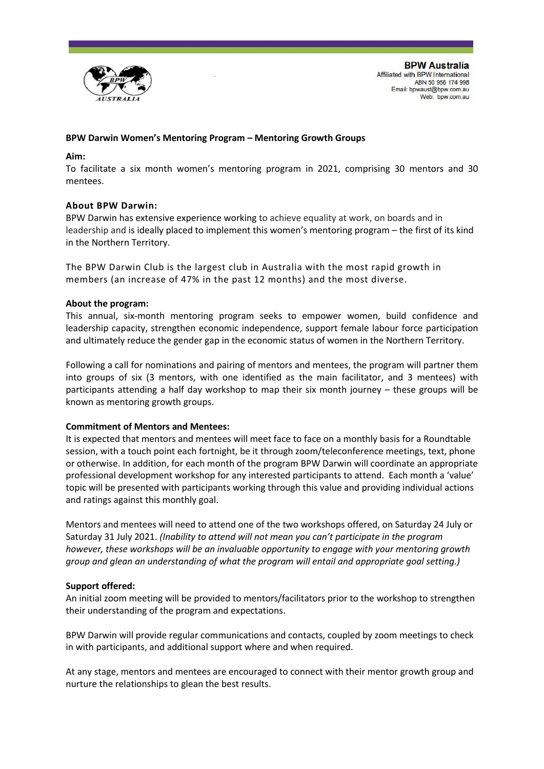

## **BPW Darwin Women's Mentoring Program – Mentoring Growth Groups**

#### **Aim:**

To facilitate a six month women's mentoring program in 2021, comprising 30 mentors and 30 mentees.

### **About BPW Darwin:**

BPW Darwin has extensive experience working to achieve equality at work, on boards and in leadership and is ideally placed to implement this women's mentoring program – the first of its kind in the Northern Territory.

The BPW Darwin Club is the largest club in Australia with the most rapid growth in members (an increase of 47% in the past 12 months) and the most diverse.

#### **About the program:**

This annual, six-month mentoring program seeks to empower women, build confidence and leadership capacity, strengthen economic independence, support female labour force participation and ultimately reduce the gender gap in the economic status of women in the Northern Territory.

Following a call for nominations and pairing of mentors and mentees, the program will partner them into groups of six (3 mentors, with one identified as the main facilitator, and 3 mentees) with participants attending a half day workshop to map their six month journey – these groups will be known as mentoring growth groups.

#### **Commitment of Mentors and Mentees:**

It is expected that mentors and mentees will meet face to face on a monthly basis for a Roundtable session, with a touch point each fortnight, be it through zoom/teleconference meetings, text, phone or otherwise. In addition, for each month of the program BPW Darwin will coordinate an appropriate professional development workshop for any interested participants to attend. Each month a 'value' topic will be presented with participants working through this value and providing individual actions and ratings against this monthly goal.

Mentors and mentees will need to attend one of the two workshops offered, on Saturday 24 July or Saturday 31 July 2021. *(Inability to attend will not mean you can't participate in the program however, these workshops will be an invaluable opportunity to engage with your mentoring growth group and glean an understanding of what the program will entail and appropriate goal setting.)*

#### **Support offered:**

An initial zoom meeting will be provided to mentors/facilitators prior to the workshop to strengthen their understanding of the program and expectations.

BPW Darwin will provide regular communications and contacts, coupled by zoom meetings to check in with participants, and additional support where and when required.

At any stage, mentors and mentees are encouraged to connect with their mentor growth group and nurture the relationships to glean the best results.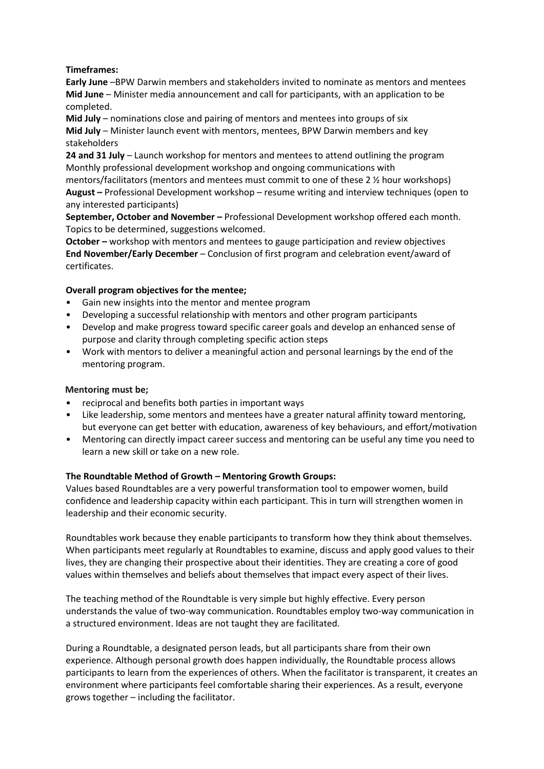## **Timeframes:**

**Early June** –BPW Darwin members and stakeholders invited to nominate as mentors and mentees **Mid June** – Minister media announcement and call for participants, with an application to be completed.

**Mid July** – nominations close and pairing of mentors and mentees into groups of six **Mid July** – Minister launch event with mentors, mentees, BPW Darwin members and key stakeholders

**24 and 31 July** – Launch workshop for mentors and mentees to attend outlining the program Monthly professional development workshop and ongoing communications with

mentors/facilitators (mentors and mentees must commit to one of these 2 ½ hour workshops) **August –** Professional Development workshop – resume writing and interview techniques (open to any interested participants)

**September, October and November –** Professional Development workshop offered each month. Topics to be determined, suggestions welcomed.

**October –** workshop with mentors and mentees to gauge participation and review objectives **End November/Early December** – Conclusion of first program and celebration event/award of certificates.

# **Overall program objectives for the mentee;**

- Gain new insights into the mentor and mentee program
- Developing a successful relationship with mentors and other program participants
- Develop and make progress toward specific career goals and develop an enhanced sense of purpose and clarity through completing specific action steps
- Work with mentors to deliver a meaningful action and personal learnings by the end of the mentoring program.

## **Mentoring must be;**

- reciprocal and benefits both parties in important ways
- Like leadership, some mentors and mentees have a greater natural affinity toward mentoring, but everyone can get better with education, awareness of key behaviours, and effort/motivation
- Mentoring can directly impact career success and mentoring can be useful any time you need to learn a new skill or take on a new role.

## **The Roundtable Method of Growth – Mentoring Growth Groups:**

Values based Roundtables are a very powerful transformation tool to empower women, build confidence and leadership capacity within each participant. This in turn will strengthen women in leadership and their economic security.

Roundtables work because they enable participants to transform how they think about themselves. When participants meet regularly at Roundtables to examine, discuss and apply good values to their lives, they are changing their prospective about their identities. They are creating a core of good values within themselves and beliefs about themselves that impact every aspect of their lives.

The teaching method of the Roundtable is very simple but highly effective. Every person understands the value of two-way communication. Roundtables employ two-way communication in a structured environment. Ideas are not taught they are facilitated.

During a Roundtable, a designated person leads, but all participants share from their own experience. Although personal growth does happen individually, the Roundtable process allows participants to learn from the experiences of others. When the facilitator is transparent, it creates an environment where participants feel comfortable sharing their experiences. As a result, everyone grows together – including the facilitator.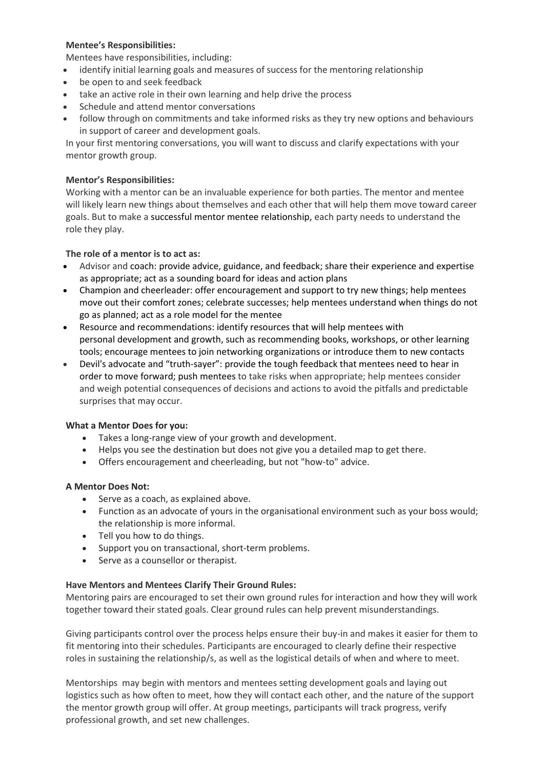## **Mentee's Responsibilities:**

Mentees have responsibilities, including:

- identify initial learning goals and measures of success for the mentoring relationship
- be open to and seek feedback
- take an active role in their own learning and help drive the process
- Schedule and attend mentor conversations
- follow through on commitments and take informed risks as they try new options and behaviours in support of career and development goals.

In your first mentoring conversations, you will want to discuss and clarify expectations with your mentor growth group.

## **Mentor's Responsibilities:**

Working with a mentor can be an invaluable experience for both parties. The mentor and mentee will likely learn new things about themselves and each other that will help them move toward career goals. But to make a [successful mentor mentee relationship,](about:blank) each party needs to understand the role they play.

## **The role of a mentor is to act as:**

- Advisor and coach: [provide advice,](about:blank) guidance, and feedback; share their experience and expertise as appropriate; act as a sounding board for ideas and action plans
- Champion and cheerleader: offer encouragement and support to try new things; help mentees move out their comfort zones; celebrate successes; help mentees understand when things do not go as planned; act as a role model for the mentee
- Resource and recommendations: identify resources that will help mentees with personal [development and growth,](about:blank) such as recommending books, workshops, or other learning tools; encourage mentees to join networking organizations or introduce them to new contacts
- Devil's advocate and "truth-sayer": provide the tough feedback that mentees need to hear in order to move forward; push mentees to take risks when appropriate; help mentees consider and weigh potential consequences of decisions and actions to avoid the pitfalls and predictable surprises that may occur.

## **What a Mentor Does for you:**

- Takes a long-range view of your growth and development.
- Helps you see the destination but does not give you a detailed map to get there.
- Offers encouragement and cheerleading, but not "how-to" advice.

## **A Mentor Does Not:**

- Serve as a coach, as explained above.
- Function as an advocate of yours in the organisational environment such as your boss would; the relationship is more informal.
- Tell you how to do things.
- Support you on transactional, short-term problems.
- Serve as a counsellor or therapist.

## **Have Mentors and Mentees Clarify Their Ground Rules:**

Mentoring pairs are encouraged to set their own ground rules for interaction and how they will work together toward their stated goals. Clear ground rules can help prevent misunderstandings.

Giving participants control over the process helps ensure their buy-in and makes it easier for them to fit mentoring into their schedules. Participants are encouraged to clearly define their respective roles in sustaining the relationship/s, as well as the logistical details of when and where to meet.

Mentorships may begin with mentors and mentees setting development goals and laying out logistics such as how often to meet, how they will contact each other, and the nature of the support the mentor growth group will offer. At group meetings, participants will track progress, verify professional growth, and set new challenges.